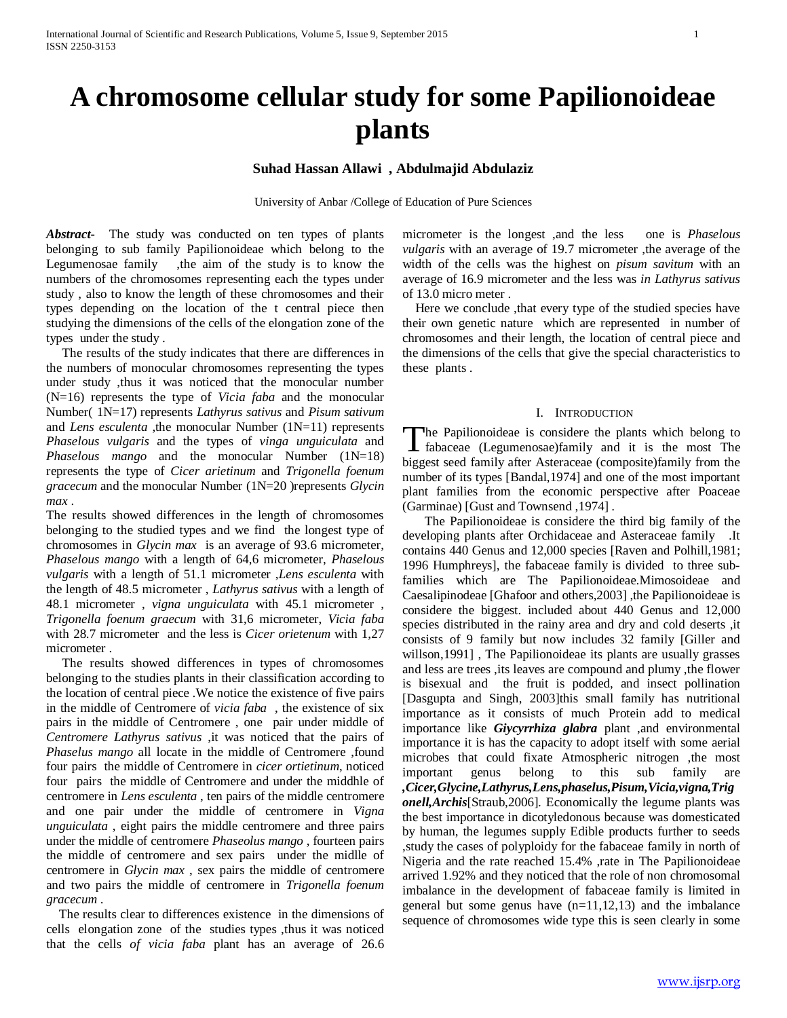# **A chromosome cellular study for some Papilionoideae plants**

**Suhad Hassan Allawi , Abdulmajid Abdulaziz**

University of Anbar /College of Education of Pure Sciences

*Abstract***-** The study was conducted on ten types of plants belonging to sub family Papilionoideae which belong to the Legumenosae family , the aim of the study is to know the numbers of the chromosomes representing each the types under study , also to know the length of these chromosomes and their types depending on the location of the t central piece then studying the dimensions of the cells of the elongation zone of the types under the study .

 The results of the study indicates that there are differences in the numbers of monocular chromosomes representing the types under study ,thus it was noticed that the monocular number (N=16) represents the type of *Vicia faba* and the monocular Number( 1N=17) represents *Lathyrus sativus* and *Pisum sativum* and *Lens esculenta* , the monocular Number (1N=11) represents *Phaselous vulgaris* and the types of *vinga unguiculata* and *Phaselous mango* and the monocular Number (1N=18) represents the type of *Cicer arietinum* and *Trigonella foenum gracecum* and the monocular Number (1N=20 )represents *Glycin max* .

The results showed differences in the length of chromosomes belonging to the studied types and we find the longest type of chromosomes in *Glycin max* is an average of 93.6 micrometer, *Phaselous mango* with a length of 64,6 micrometer, *Phaselous vulgaris* with a length of 51.1 micrometer ,*Lens esculenta* with the length of 48.5 micrometer , *Lathyrus sativus* with a length of 48.1 micrometer , *vigna unguiculata* with 45.1 micrometer , *Trigonella foenum graecum* with 31,6 micrometer, *Vicia faba* with 28.7 micrometer and the less is *Cicer orietenum* with 1,27 micrometer .

 The results showed differences in types of chromosomes belonging to the studies plants in their classification according to the location of central piece .We notice the existence of five pairs in the middle of Centromere of *vicia faba* , the existence of six pairs in the middle of Centromere , one pair under middle of *Centromere Lathyrus sativus* ,it was noticed that the pairs of *Phaselus mango* all locate in the middle of Centromere ,found four pairs the middle of Centromere in *cicer ortietinum*, noticed four pairs the middle of Centromere and under the middhle of centromere in *Lens esculenta* , ten pairs of the middle centromere and one pair under the middle of centromere in *Vigna unguiculata* , eight pairs the middle centromere and three pairs under the middle of centromere *Phaseolus mango* , fourteen pairs the middle of centromere and sex pairs under the midlle of centromere in *Glycin max* , sex pairs the middle of centromere and two pairs the middle of centromere in *Trigonella foenum gracecum* .

 The results clear to differences existence in the dimensions of cells elongation zone of the studies types ,thus it was noticed that the cells *of vicia faba* plant has an average of 26.6 micrometer is the longest ,and the less one is *Phaselous vulgaris* with an average of 19.7 micrometer ,the average of the width of the cells was the highest on *pisum savitum* with an average of 16.9 micrometer and the less was *in Lathyrus sativus*  of 13.0 micro meter .

Here we conclude , that every type of the studied species have their own genetic nature which are represented in number of chromosomes and their length, the location of central piece and the dimensions of the cells that give the special characteristics to these plants .

#### I. INTRODUCTION

The Papilionoideae is considere the plants which belong to fabaceae (Legumenosae)family and it is the most The **f**abaceae (Legumenosae)family and it is the most The biggest seed family after Asteraceae (composite)family from the number of its types [Bandal,1974] and one of the most important plant families from the economic perspective after Poaceae (Garminae) [Gust and Townsend ,1974] .

 The Papilionoideae is considere the third big family of the developing plants after Orchidaceae and Asteraceae family .It contains 440 Genus and 12,000 species [Raven and Polhill,1981; 1996 Humphreys], the fabaceae family is divided to three subfamilies which are The Papilionoideae.Mimosoideae and Caesalipinodeae [Ghafoor and others,2003] ,the Papilionoideae is considere the biggest. included about 440 Genus and 12,000 species distributed in the rainy area and dry and cold deserts ,it consists of 9 family but now includes 32 family [Giller and willson,1991] , The Papilionoideae its plants are usually grasses and less are trees ,its leaves are compound and plumy ,the flower is bisexual and the fruit is podded, and insect pollination [Dasgupta and Singh, 2003]this small family has nutritional importance as it consists of much Protein add to medical importance like *Giycyrrhiza glabra* plant ,and environmental importance it is has the capacity to adopt itself with some aerial microbes that could fixate Atmospheric nitrogen ,the most important genus belong to this sub family are *,Cicer,Glycine,Lathyrus,Lens,phaselus,Pisum,Vicia,vigna,Trig onell,Archis*[Straub,2006]. Economically the legume plants was the best importance in dicotyledonous because was domesticated by human, the legumes supply Edible products further to seeds ,study the cases of polyploidy for the fabaceae family in north of Nigeria and the rate reached 15.4% ,rate in The Papilionoideae arrived 1.92% and they noticed that the role of non chromosomal imbalance in the development of fabaceae family is limited in general but some genus have  $(n=11,12,13)$  and the imbalance sequence of chromosomes wide type this is seen clearly in some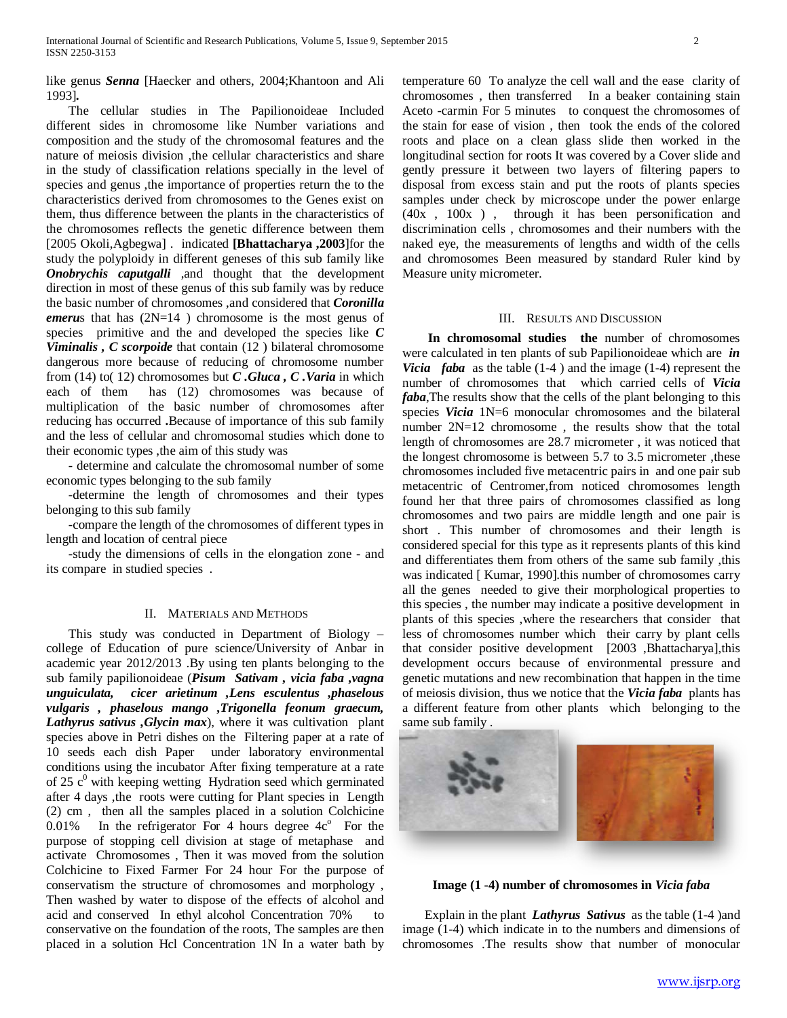like genus *Senna* [Haecker and others, 2004;Khantoon and Ali 1993]*.*

 The cellular studies in The Papilionoideae Included different sides in chromosome like Number variations and composition and the study of the chromosomal features and the nature of meiosis division ,the cellular characteristics and share in the study of classification relations specially in the level of species and genus ,the importance of properties return the to the characteristics derived from chromosomes to the Genes exist on them, thus difference between the plants in the characteristics of the chromosomes reflects the genetic difference between them [2005 Okoli,Agbegwa] . indicated **[Bhattacharya ,2003**]for the study the polyploidy in different geneses of this sub family like *Onobrychis caputgalli* ,and thought that the development direction in most of these genus of this sub family was by reduce the basic number of chromosomes ,and considered that *Coronilla emeru*s that has (2N=14 ) chromosome is the most genus of species primitive and the and developed the species like *C Viminalis , C scorpoide* that contain (12 ) bilateral chromosome dangerous more because of reducing of chromosome number from (14) to( 12) chromosomes but *C .Gluca , C .Varia* in which each of them has (12) chromosomes was because of multiplication of the basic number of chromosomes after reducing has occurred **.**Because of importance of this sub family and the less of cellular and chromosomal studies which done to their economic types ,the aim of this study was

 - determine and calculate the chromosomal number of some economic types belonging to the sub family

 -determine the length of chromosomes and their types belonging to this sub family

 -compare the length of the chromosomes of different types in length and location of central piece

 -study the dimensions of cells in the elongation zone - and its compare in studied species .

### II. MATERIALS AND METHODS

 This study was conducted in Department of Biology – college of Education of pure science/University of Anbar in academic year 2012/2013 .By using ten plants belonging to the sub family papilionoideae (*Pisum Sativam , vicia faba ,vagna unguiculata, cicer arietinum ,Lens esculentus ,phaselous vulgaris , phaselous mango ,Trigonella feonum graecum, Lathyrus sativus ,Glycin max*), where it was cultivation plant species above in Petri dishes on the Filtering paper at a rate of 10 seeds each dish Paper under laboratory environmental conditions using the incubator After fixing temperature at a rate of 25 c<sup>0</sup> with keeping wetting Hydration seed which germinated after 4 days ,the roots were cutting for Plant species in Length (2) cm , then all the samples placed in a solution Colchicine 0.01% In the refrigerator For 4 hours degree  $4c^{\circ}$  For the purpose of stopping cell division at stage of metaphase and activate Chromosomes , Then it was moved from the solution Colchicine to Fixed Farmer For 24 hour For the purpose of conservatism the structure of chromosomes and morphology , Then washed by water to dispose of the effects of alcohol and acid and conserved In ethyl alcohol Concentration 70% to conservative on the foundation of the roots, The samples are then placed in a solution Hcl Concentration 1N In a water bath by

temperature 60 To analyze the cell wall and the ease clarity of chromosomes , then transferred In a beaker containing stain Aceto -carmin For 5 minutes to conquest the chromosomes of the stain for ease of vision , then took the ends of the colored roots and place on a clean glass slide then worked in the longitudinal section for roots It was covered by a Cover slide and gently pressure it between two layers of filtering papers to disposal from excess stain and put the roots of plants species samples under check by microscope under the power enlarge (40x , 100x ) , through it has been personification and discrimination cells , chromosomes and their numbers with the naked eye, the measurements of lengths and width of the cells and chromosomes Been measured by standard Ruler kind by Measure unity micrometer.

#### III. RESULTS AND DISCUSSION

 **In chromosomal studies the** number of chromosomes were calculated in ten plants of sub Papilionoideae which are *in Vicia faba* as the table (1-4 ) and the image (1-4) represent the number of chromosomes that which carried cells of *Vicia faba*,The results show that the cells of the plant belonging to this species *Vicia* 1N=6 monocular chromosomes and the bilateral number 2N=12 chromosome , the results show that the total length of chromosomes are 28.7 micrometer , it was noticed that the longest chromosome is between 5.7 to 3.5 micrometer ,these chromosomes included five metacentric pairs in and one pair sub metacentric of Centromer,from noticed chromosomes length found her that three pairs of chromosomes classified as long chromosomes and two pairs are middle length and one pair is short . This number of chromosomes and their length is considered special for this type as it represents plants of this kind and differentiates them from others of the same sub family ,this was indicated [ Kumar, 1990].this number of chromosomes carry all the genes needed to give their morphological properties to this species , the number may indicate a positive development in plants of this species ,where the researchers that consider that less of chromosomes number which their carry by plant cells that consider positive development [2003 ,Bhattacharya],this development occurs because of environmental pressure and genetic mutations and new recombination that happen in the time of meiosis division, thus we notice that the *Vicia faba* plants has a different feature from other plants which belonging to the same sub family .



**Image (1 -4) number of chromosomes in** *Vicia faba*

 Explain in the plant *Lathyrus Sativus* as the table (1-4 )and image (1-4) which indicate in to the numbers and dimensions of chromosomes .The results show that number of monocular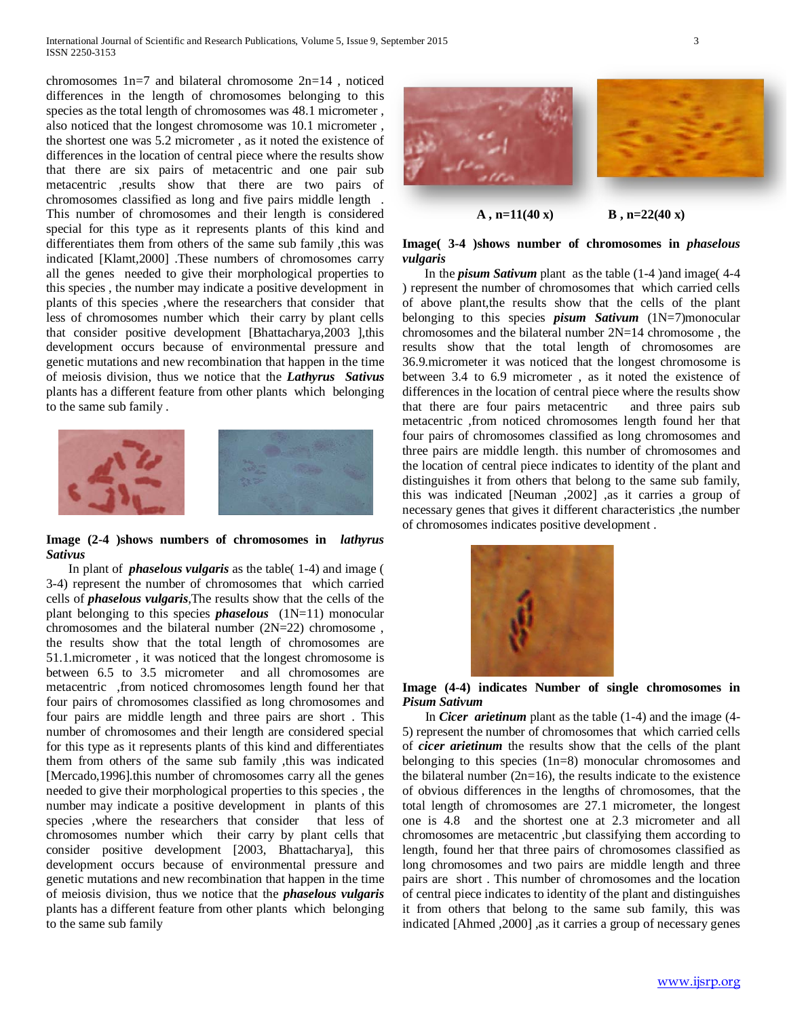chromosomes 1n=7 and bilateral chromosome 2n=14 , noticed differences in the length of chromosomes belonging to this species as the total length of chromosomes was 48.1 micrometer , also noticed that the longest chromosome was 10.1 micrometer , the shortest one was 5.2 micrometer , as it noted the existence of differences in the location of central piece where the results show that there are six pairs of metacentric and one pair sub metacentric ,results show that there are two pairs of chromosomes classified as long and five pairs middle length . This number of chromosomes and their length is considered special for this type as it represents plants of this kind and differentiates them from others of the same sub family ,this was indicated [Klamt,2000] .These numbers of chromosomes carry all the genes needed to give their morphological properties to this species , the number may indicate a positive development in plants of this species ,where the researchers that consider that less of chromosomes number which their carry by plant cells that consider positive development [Bhattacharya,2003 ],this development occurs because of environmental pressure and genetic mutations and new recombination that happen in the time of meiosis division, thus we notice that the *Lathyrus Sativus* plants has a different feature from other plants which belonging to the same sub family .



# **Image (2-4 )shows numbers of chromosomes in** *lathyrus Sativus*

 In plant of *phaselous vulgaris* as the table( 1-4) and image ( 3-4) represent the number of chromosomes that which carried cells of *phaselous vulgaris*,The results show that the cells of the plant belonging to this species *phaselous* (1N=11) monocular chromosomes and the bilateral number (2N=22) chromosome , the results show that the total length of chromosomes are 51.1.micrometer , it was noticed that the longest chromosome is between 6.5 to 3.5 micrometer and all chromosomes are metacentric ,from noticed chromosomes length found her that four pairs of chromosomes classified as long chromosomes and four pairs are middle length and three pairs are short . This number of chromosomes and their length are considered special for this type as it represents plants of this kind and differentiates them from others of the same sub family ,this was indicated [Mercado,1996].this number of chromosomes carry all the genes needed to give their morphological properties to this species , the number may indicate a positive development in plants of this species ,where the researchers that consider that less of chromosomes number which their carry by plant cells that consider positive development [2003, Bhattacharya], this development occurs because of environmental pressure and genetic mutations and new recombination that happen in the time of meiosis division, thus we notice that the *phaselous vulgaris*  plants has a different feature from other plants which belonging to the same sub family



 $A$ , n=11(40 x) **B**, n=22(40 x)

## **Image( 3-4 )shows number of chromosomes in** *phaselous vulgaris*

 In the *pisum Sativum* plant as the table (1-4 )and image( 4-4 ) represent the number of chromosomes that which carried cells of above plant,the results show that the cells of the plant belonging to this species *pisum Sativum* (1N=7)monocular chromosomes and the bilateral number 2N=14 chromosome , the results show that the total length of chromosomes are 36.9.micrometer it was noticed that the longest chromosome is between 3.4 to 6.9 micrometer, as it noted the existence of differences in the location of central piece where the results show that there are four pairs metacentric and three pairs sub metacentric ,from noticed chromosomes length found her that four pairs of chromosomes classified as long chromosomes and three pairs are middle length. this number of chromosomes and the location of central piece indicates to identity of the plant and distinguishes it from others that belong to the same sub family, this was indicated [Neuman ,2002] ,as it carries a group of necessary genes that gives it different characteristics ,the number of chromosomes indicates positive development .



# **Image (4-4) indicates Number of single chromosomes in** *Pisum Sativum*

 In *Cicer arietinum* plant as the table (1-4) and the image (4- 5) represent the number of chromosomes that which carried cells of *cicer arietinum* the results show that the cells of the plant belonging to this species (1n=8) monocular chromosomes and the bilateral number  $(2n=16)$ , the results indicate to the existence of obvious differences in the lengths of chromosomes, that the total length of chromosomes are 27.1 micrometer, the longest one is 4.8 and the shortest one at 2.3 micrometer and all chromosomes are metacentric ,but classifying them according to length, found her that three pairs of chromosomes classified as long chromosomes and two pairs are middle length and three pairs are short . This number of chromosomes and the location of central piece indicates to identity of the plant and distinguishes it from others that belong to the same sub family, this was indicated [Ahmed ,2000] ,as it carries a group of necessary genes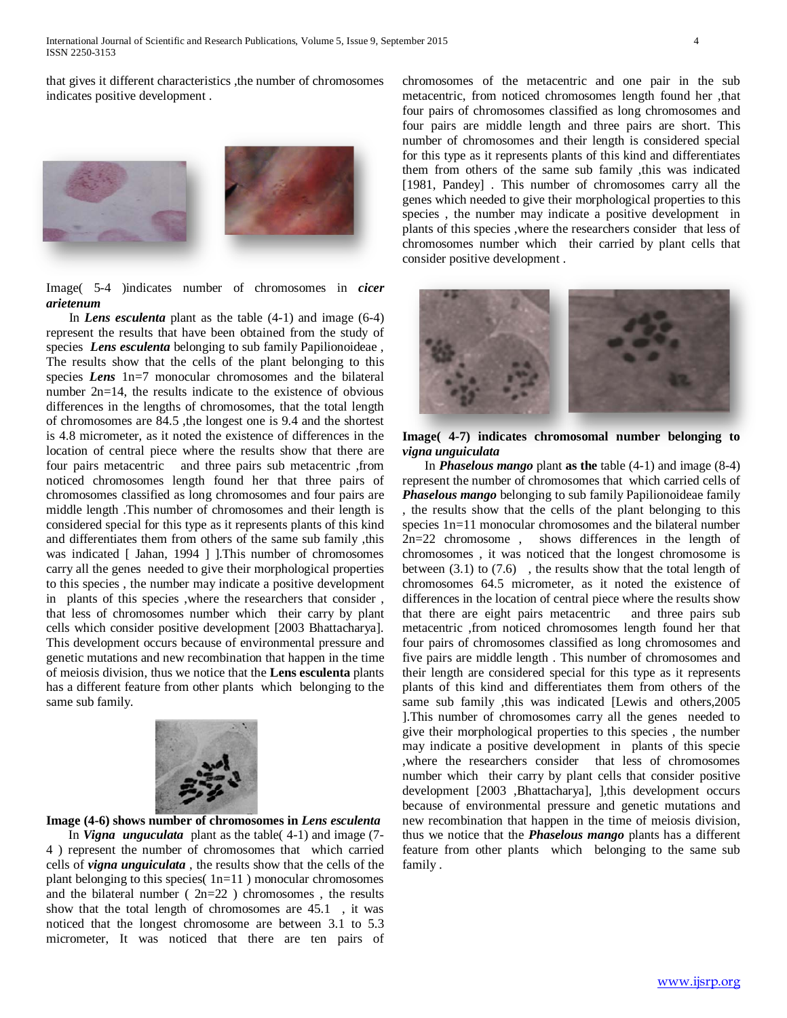that gives it different characteristics ,the number of chromosomes indicates positive development .



Image( 5-4 )indicates number of chromosomes in *cicer arietenum*

 In *Lens esculenta* plant as the table (4-1) and image (6-4) represent the results that have been obtained from the study of species *Lens esculenta* belonging to sub family Papilionoideae , The results show that the cells of the plant belonging to this species *Lens* 1n=7 monocular chromosomes and the bilateral number 2n=14, the results indicate to the existence of obvious differences in the lengths of chromosomes, that the total length of chromosomes are 84.5 ,the longest one is 9.4 and the shortest is 4.8 micrometer, as it noted the existence of differences in the location of central piece where the results show that there are four pairs metacentric and three pairs sub metacentric ,from noticed chromosomes length found her that three pairs of chromosomes classified as long chromosomes and four pairs are middle length .This number of chromosomes and their length is considered special for this type as it represents plants of this kind and differentiates them from others of the same sub family ,this was indicated [ Jahan, 1994 ] ].This number of chromosomes carry all the genes needed to give their morphological properties to this species , the number may indicate a positive development in plants of this species ,where the researchers that consider , that less of chromosomes number which their carry by plant cells which consider positive development [2003 Bhattacharya]. This development occurs because of environmental pressure and genetic mutations and new recombination that happen in the time of meiosis division, thus we notice that the **Lens esculenta** plants has a different feature from other plants which belonging to the same sub family.



**Image (4-6) shows number of chromosomes in** *Lens esculenta*

 In *Vigna unguculata*plant as the table( 4-1) and image (7- 4 ) represent the number of chromosomes that which carried cells of *vigna unguiculata* , the results show that the cells of the plant belonging to this species( 1n=11 ) monocular chromosomes and the bilateral number ( $2n=22$ ) chromosomes, the results show that the total length of chromosomes are 45.1 , it was noticed that the longest chromosome are between 3.1 to 5.3 micrometer, It was noticed that there are ten pairs of chromosomes of the metacentric and one pair in the sub metacentric, from noticed chromosomes length found her ,that four pairs of chromosomes classified as long chromosomes and four pairs are middle length and three pairs are short. This number of chromosomes and their length is considered special for this type as it represents plants of this kind and differentiates them from others of the same sub family ,this was indicated [1981, Pandey] . This number of chromosomes carry all the genes which needed to give their morphological properties to this species , the number may indicate a positive development in plants of this species ,where the researchers consider that less of chromosomes number which their carried by plant cells that consider positive development .



**Image( 4-7) indicates chromosomal number belonging to**  *vigna unguiculata*

 In *Phaselous mango* plant **as the** table (4-1) and image (8-4) represent the number of chromosomes that which carried cells of *Phaselous mango* belonging to sub family Papilionoideae family , the results show that the cells of the plant belonging to this species 1n=11 monocular chromosomes and the bilateral number 2n=22 chromosome , shows differences in the length of chromosomes , it was noticed that the longest chromosome is between (3.1) to (7.6) , the results show that the total length of chromosomes 64.5 micrometer, as it noted the existence of differences in the location of central piece where the results show that there are eight pairs metacentric and three pairs sub metacentric ,from noticed chromosomes length found her that four pairs of chromosomes classified as long chromosomes and five pairs are middle length . This number of chromosomes and their length are considered special for this type as it represents plants of this kind and differentiates them from others of the same sub family ,this was indicated [Lewis and others,2005 ].This number of chromosomes carry all the genes needed to give their morphological properties to this species , the number may indicate a positive development in plants of this specie ,where the researchers consider that less of chromosomes number which their carry by plant cells that consider positive development [2003 ,Bhattacharya], ],this development occurs because of environmental pressure and genetic mutations and new recombination that happen in the time of meiosis division, thus we notice that the *Phaselous mango* plants has a different feature from other plants which belonging to the same sub family .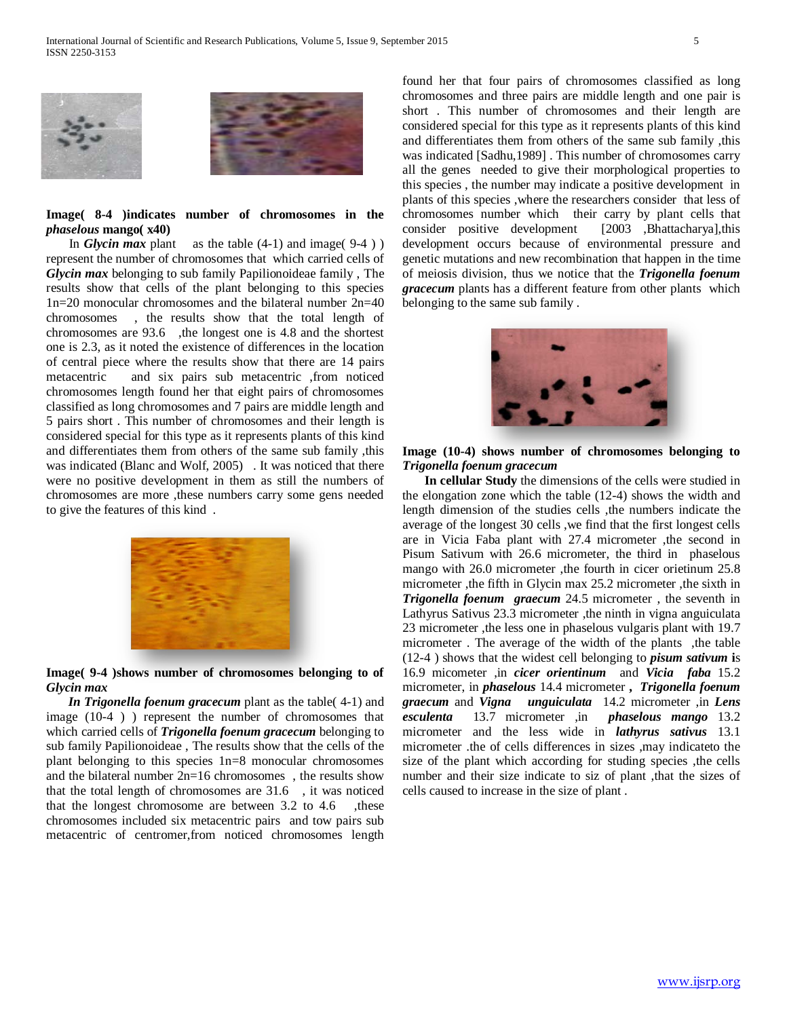



# **Image( 8-4 )indicates number of chromosomes in the**  *phaselous* **mango( x40)**

In *Glycin max* plant as the table  $(4-1)$  and image  $(9-4)$ represent the number of chromosomes that which carried cells of *Glycin max* belonging to sub family Papilionoideae family , The results show that cells of the plant belonging to this species 1n=20 monocular chromosomes and the bilateral number 2n=40 chromosomes , the results show that the total length of chromosomes are 93.6 ,the longest one is 4.8 and the shortest one is 2.3, as it noted the existence of differences in the location of central piece where the results show that there are 14 pairs metacentric and six pairs sub metacentric ,from noticed chromosomes length found her that eight pairs of chromosomes classified as long chromosomes and 7 pairs are middle length and 5 pairs short . This number of chromosomes and their length is considered special for this type as it represents plants of this kind and differentiates them from others of the same sub family ,this was indicated (Blanc and Wolf, 2005) . It was noticed that there were no positive development in them as still the numbers of chromosomes are more ,these numbers carry some gens needed to give the features of this kind .



**Image( 9-4 )shows number of chromosomes belonging to of**  *Glycin max*

 *In Trigonella foenum gracecum* plant as the table( 4-1) and image (10-4 ) ) represent the number of chromosomes that which carried cells of *Trigonella foenum gracecum* belonging to sub family Papilionoideae , The results show that the cells of the plant belonging to this species 1n=8 monocular chromosomes and the bilateral number 2n=16 chromosomes , the results show that the total length of chromosomes are 31.6 , it was noticed that the longest chromosome are between 3.2 to 4.6 , these chromosomes included six metacentric pairs and tow pairs sub metacentric of centromer,from noticed chromosomes length found her that four pairs of chromosomes classified as long chromosomes and three pairs are middle length and one pair is short . This number of chromosomes and their length are considered special for this type as it represents plants of this kind and differentiates them from others of the same sub family ,this was indicated [Sadhu,1989] . This number of chromosomes carry all the genes needed to give their morphological properties to this species , the number may indicate a positive development in plants of this species ,where the researchers consider that less of chromosomes number which their carry by plant cells that consider positive development [2003 ,Bhattacharya],this development occurs because of environmental pressure and genetic mutations and new recombination that happen in the time of meiosis division, thus we notice that the *Trigonella foenum gracecum* plants has a different feature from other plants which belonging to the same sub family .



**Image (10-4) shows number of chromosomes belonging to**  *Trigonella foenum gracecum*

 **In cellular Study** the dimensions of the cells were studied in the elongation zone which the table (12-4) shows the width and length dimension of the studies cells ,the numbers indicate the average of the longest 30 cells ,we find that the first longest cells are in Vicia Faba plant with 27.4 micrometer ,the second in Pisum Sativum with 26.6 micrometer, the third in phaselous mango with 26.0 micrometer, the fourth in cicer orietinum 25.8 micrometer ,the fifth in Glycin max 25.2 micrometer ,the sixth in *Trigonella foenum graecum* 24.5 micrometer , the seventh in Lathyrus Sativus 23.3 micrometer ,the ninth in vigna anguiculata 23 micrometer ,the less one in phaselous vulgaris plant with 19.7 micrometer. The average of the width of the plants , the table (12-4 ) shows that the widest cell belonging to *pisum sativum* **i**s 16.9 micometer ,in *cicer orientinum* and *Vicia faba* 15.2 micrometer, in *phaselous* 14.4 micrometer **,** *Trigonella foenum graecum* and *Vigna unguiculata* 14.2 micrometer ,in *Lens esculenta* 13.7 micrometer ,in *phaselous mango* 13.2 micrometer and the less wide in *lathyrus sativus* 13.1 micrometer .the of cells differences in sizes ,may indicateto the size of the plant which according for studing species , the cells number and their size indicate to siz of plant , that the sizes of cells caused to increase in the size of plant .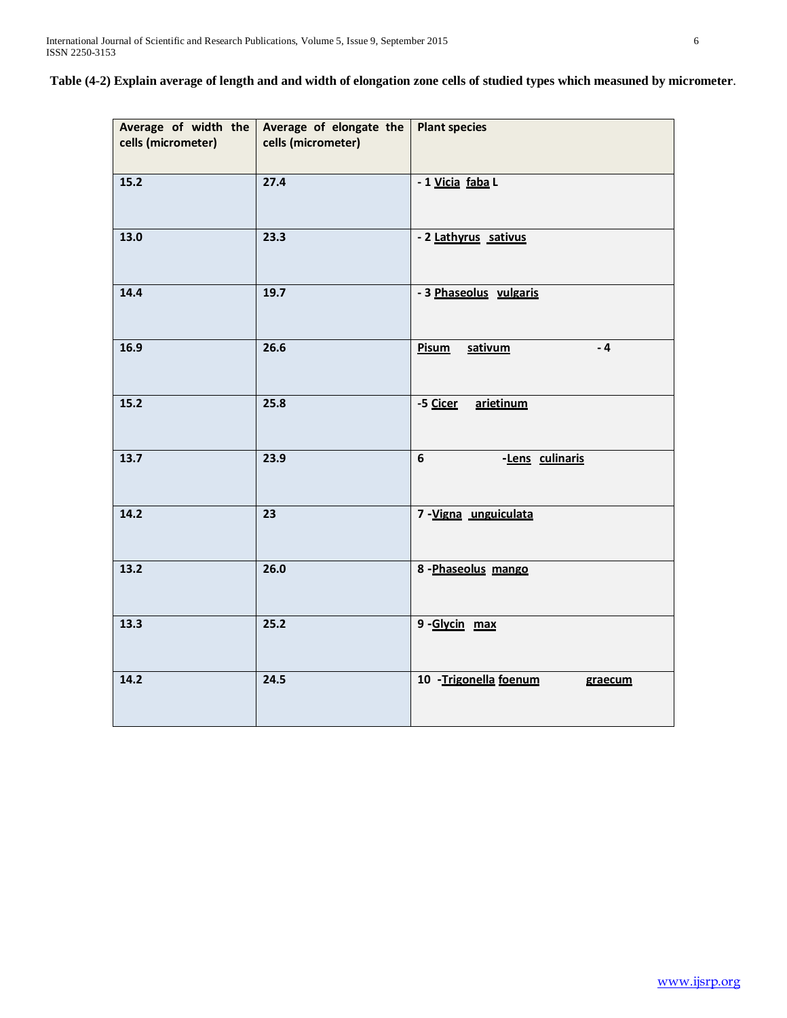**Table (4-2) Explain average of length and and width of elongation zone cells of studied types which measuned by micrometer**.

| cells (micrometer) | Average of width the Average of elongate the<br>cells (micrometer) | <b>Plant species</b>              |  |  |  |  |
|--------------------|--------------------------------------------------------------------|-----------------------------------|--|--|--|--|
| 15.2               | 27.4                                                               | - 1 Vicia faba L                  |  |  |  |  |
| 13.0               | 23.3                                                               | - 2 Lathyrus sativus              |  |  |  |  |
| 14.4               | 19.7                                                               | - 3 Phaseolus vulgaris            |  |  |  |  |
| 16.9               | 26.6                                                               | $-4$<br><b>Pisum</b><br>sativum   |  |  |  |  |
| 15.2               | 25.8                                                               | -5 Cicer<br>arietinum             |  |  |  |  |
| 13.7               | 23.9                                                               | 6<br>-Lens culinaris              |  |  |  |  |
| 14.2               | 23                                                                 | 7-Vigna unguiculata               |  |  |  |  |
| 13.2               | 26.0                                                               | 8-Phaseolus mango                 |  |  |  |  |
| 13.3               | 25.2                                                               | 9-Glycin max                      |  |  |  |  |
| 14.2               | 24.5                                                               | 10 - Trigonella foenum<br>graecum |  |  |  |  |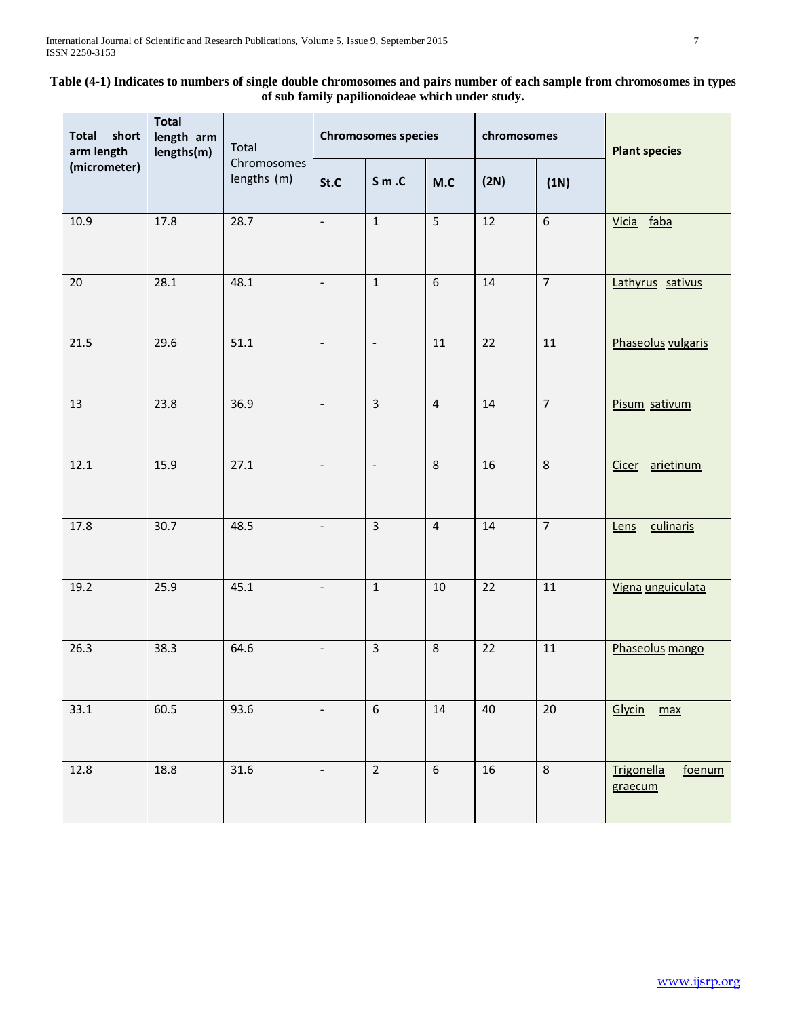# **Table (4-1) Indicates to numbers of single double chromosomes and pairs number of each sample from chromosomes in types of sub family papilionoideae which under study.**

| short<br><b>Total</b><br>arm length<br>(micrometer) | <b>Total</b><br>length arm<br>lengths(m) | Total<br>Chromosomes<br>lengths (m) | <b>Chromosomes species</b> |                          | chromosomes      |      | <b>Plant species</b> |                                        |
|-----------------------------------------------------|------------------------------------------|-------------------------------------|----------------------------|--------------------------|------------------|------|----------------------|----------------------------------------|
|                                                     |                                          |                                     | St.C                       | $S \, m \, .C$           | M.C              | (2N) | (1N)                 |                                        |
| 10.9                                                | 17.8                                     | 28.7                                | $\blacksquare$             | $\mathbf{1}$             | $5\overline{)}$  | 12   | $6\overline{6}$      | faba<br>Vicia                          |
| 20                                                  | 28.1                                     | 48.1                                | $\overline{\phantom{a}}$   | $\mathbf{1}$             | 6                | 14   | $\overline{7}$       | Lathyrus sativus                       |
| 21.5                                                | 29.6                                     | 51.1                                | $\blacksquare$             | $\blacksquare$           | 11               | 22   | $11\,$               | Phaseolus vulgaris                     |
| 13                                                  | 23.8                                     | 36.9                                | $\blacksquare$             | $\overline{3}$           | $\overline{4}$   | 14   | $\overline{7}$       | Pisum sativum                          |
| 12.1                                                | 15.9                                     | 27.1                                | $\frac{1}{2}$              | $\overline{\phantom{a}}$ | 8                | 16   | 8                    | arietinum<br>Cicer                     |
| 17.8                                                | 30.7                                     | 48.5                                | $\Box$                     | $\overline{3}$           | $\overline{4}$   | 14   | $\overline{7}$       | culinaris<br>Lens                      |
| 19.2                                                | 25.9                                     | 45.1                                | $\Box$                     | $\mathbf{1}$             | 10               | 22   | 11                   | Vigna unguiculata                      |
| 26.3                                                | 38.3                                     | 64.6                                | $\Box$                     | $\overline{3}$           | 8                | 22   | 11                   | Phaseolus mango                        |
| 33.1                                                | 60.5                                     | 93.6                                | $\Box$                     | $\boldsymbol{6}$         | 14               | 40   | $20\,$               | Glycin<br>max                          |
| 12.8                                                | 18.8                                     | 31.6                                | $\overline{\phantom{a}}$   | $\mathbf 2$              | $\boldsymbol{6}$ | 16   | $\,8\,$              | <b>Trigonella</b><br>foenum<br>graecum |